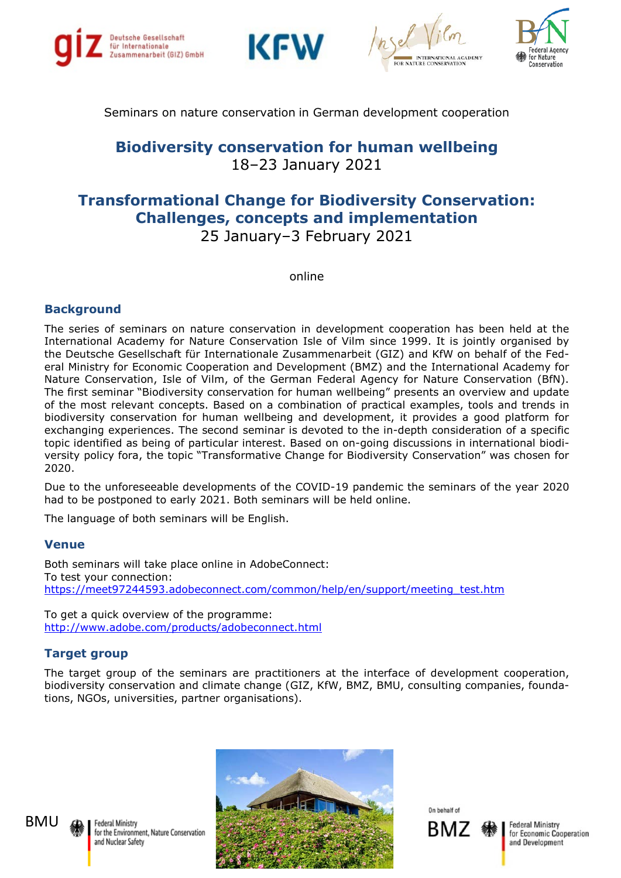







## Seminars on nature conservation in German development cooperation

## **Biodiversity conservation for human wellbeing** 18–23 January 2021

## **Transformational Change for Biodiversity Conservation: Challenges, concepts and implementation**  25 January–3 February 2021

online

### **Background**

The series of seminars on nature conservation in development cooperation has been held at the International Academy for Nature Conservation Isle of Vilm since 1999. It is jointly organised by the Deutsche Gesellschaft für Internationale Zusammenarbeit (GIZ) and KfW on behalf of the Federal Ministry for Economic Cooperation and Development (BMZ) and the International Academy for Nature Conservation, Isle of Vilm, of the German Federal Agency for Nature Conservation (BfN). The first seminar "Biodiversity conservation for human wellbeing" presents an overview and update of the most relevant concepts. Based on a combination of practical examples, tools and trends in biodiversity conservation for human wellbeing and development, it provides a good platform for exchanging experiences. The second seminar is devoted to the in-depth consideration of a specific topic identified as being of particular interest. Based on on-going discussions in international biodiversity policy fora, the topic "Transformative Change for Biodiversity Conservation" was chosen for 2020.

Due to the unforeseeable developments of the COVID-19 pandemic the seminars of the year 2020 had to be postponed to early 2021. Both seminars will be held online.

The language of both seminars will be English.

#### **Venue**

Both seminars will take place online in AdobeConnect: To test your connection: [https://meet97244593.adobeconnect.com/common/help/en/support/meeting\\_test.htm](https://meet97244593.adobeconnect.com/common/help/en/support/meeting_test.htm)

To get a quick overview of the programme: <http://www.adobe.com/products/adobeconnect.html>

#### **Target group**

The target group of the seminars are practitioners at the interface of development cooperation, biodiversity conservation and climate change (GIZ, KfW, BMZ, BMU, consulting companies, foundations, NGOs, universities, partner organisations).



Federal Ministry for the Environment, Nature Conservation and Nuclear Safety



On hoholf of



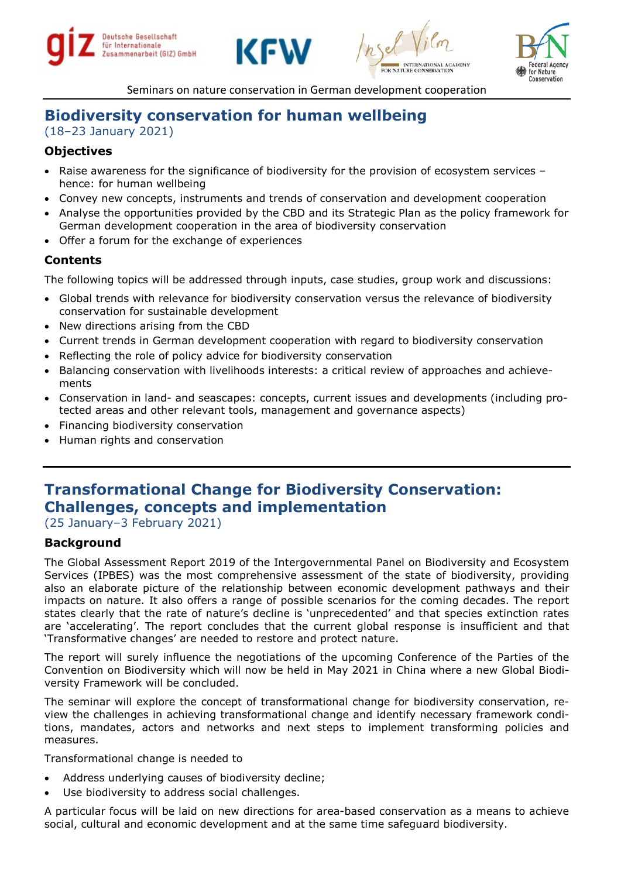







Seminars on nature conservation in German development cooperation

# **Biodiversity conservation for human wellbeing**

(18–23 January 2021)

## **Objectives**

- Raise awareness for the significance of biodiversity for the provision of ecosystem services hence: for human wellbeing
- Convey new concepts, instruments and trends of conservation and development cooperation
- Analyse the opportunities provided by the CBD and its Strategic Plan as the policy framework for German development cooperation in the area of biodiversity conservation
- Offer a forum for the exchange of experiences

## **Contents**

The following topics will be addressed through inputs, case studies, group work and discussions:

- Global trends with relevance for biodiversity conservation versus the relevance of biodiversity conservation for sustainable development
- New directions arising from the CBD
- Current trends in German development cooperation with regard to biodiversity conservation
- Reflecting the role of policy advice for biodiversity conservation
- Balancing conservation with livelihoods interests: a critical review of approaches and achievements
- Conservation in land- and seascapes: concepts, current issues and developments (including protected areas and other relevant tools, management and governance aspects)
- Financing biodiversity conservation
- Human rights and conservation

# **Transformational Change for Biodiversity Conservation: Challenges, concepts and implementation**

(25 January–3 February 2021)

## **Background**

The Global Assessment Report 2019 of the Intergovernmental Panel on Biodiversity and Ecosystem Services (IPBES) was the most comprehensive assessment of the state of biodiversity, providing also an elaborate picture of the relationship between economic development pathways and their impacts on nature. It also offers a range of possible scenarios for the coming decades. The report states clearly that the rate of nature's decline is 'unprecedented' and that species extinction rates are 'accelerating'. The report concludes that the current global response is insufficient and that 'Transformative changes' are needed to restore and protect nature.

The report will surely influence the negotiations of the upcoming Conference of the Parties of the Convention on Biodiversity which will now be held in May 2021 in China where a new Global Biodiversity Framework will be concluded.

The seminar will explore the concept of transformational change for biodiversity conservation, review the challenges in achieving transformational change and identify necessary framework conditions, mandates, actors and networks and next steps to implement transforming policies and measures.

Transformational change is needed to

- Address underlying causes of biodiversity decline;
- Use biodiversity to address social challenges.

A particular focus will be laid on new directions for area-based conservation as a means to achieve social, cultural and economic development and at the same time safeguard biodiversity.